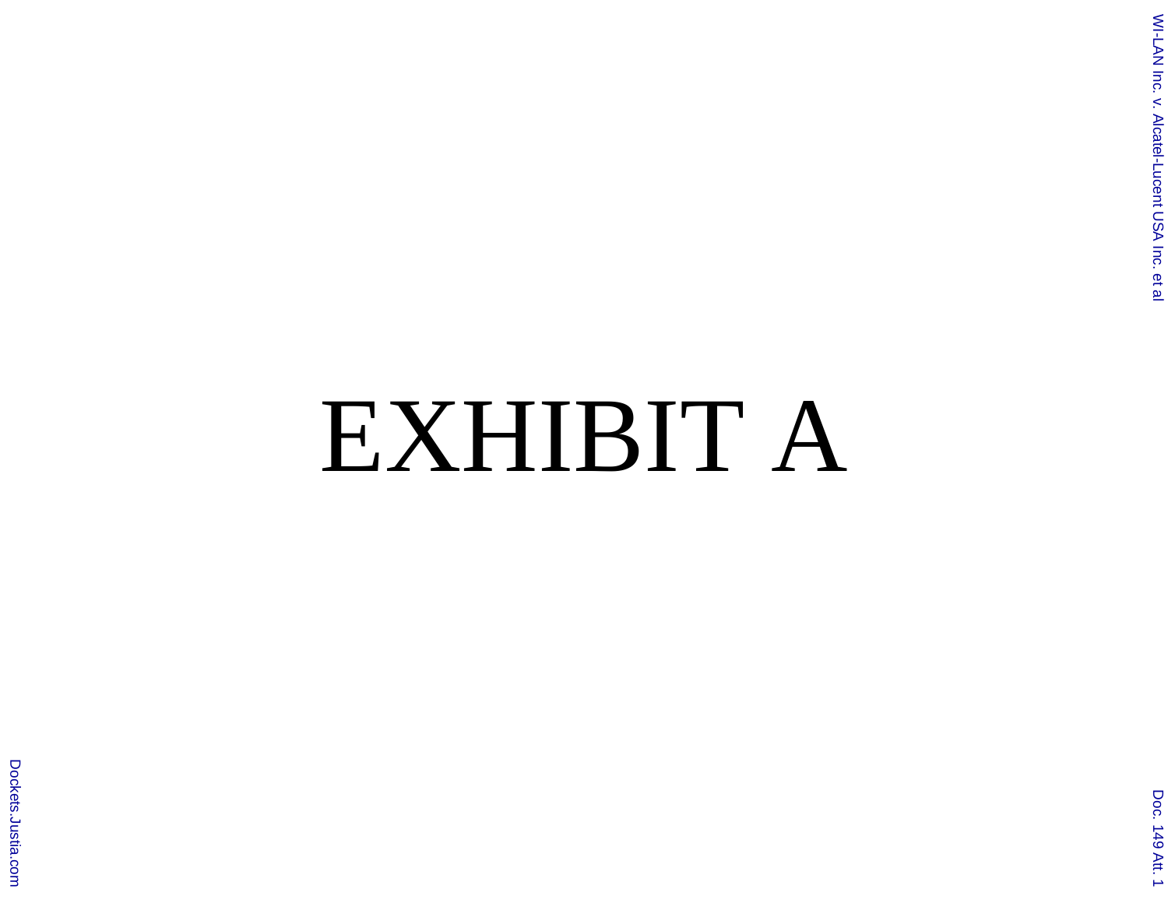## EXHIBIT A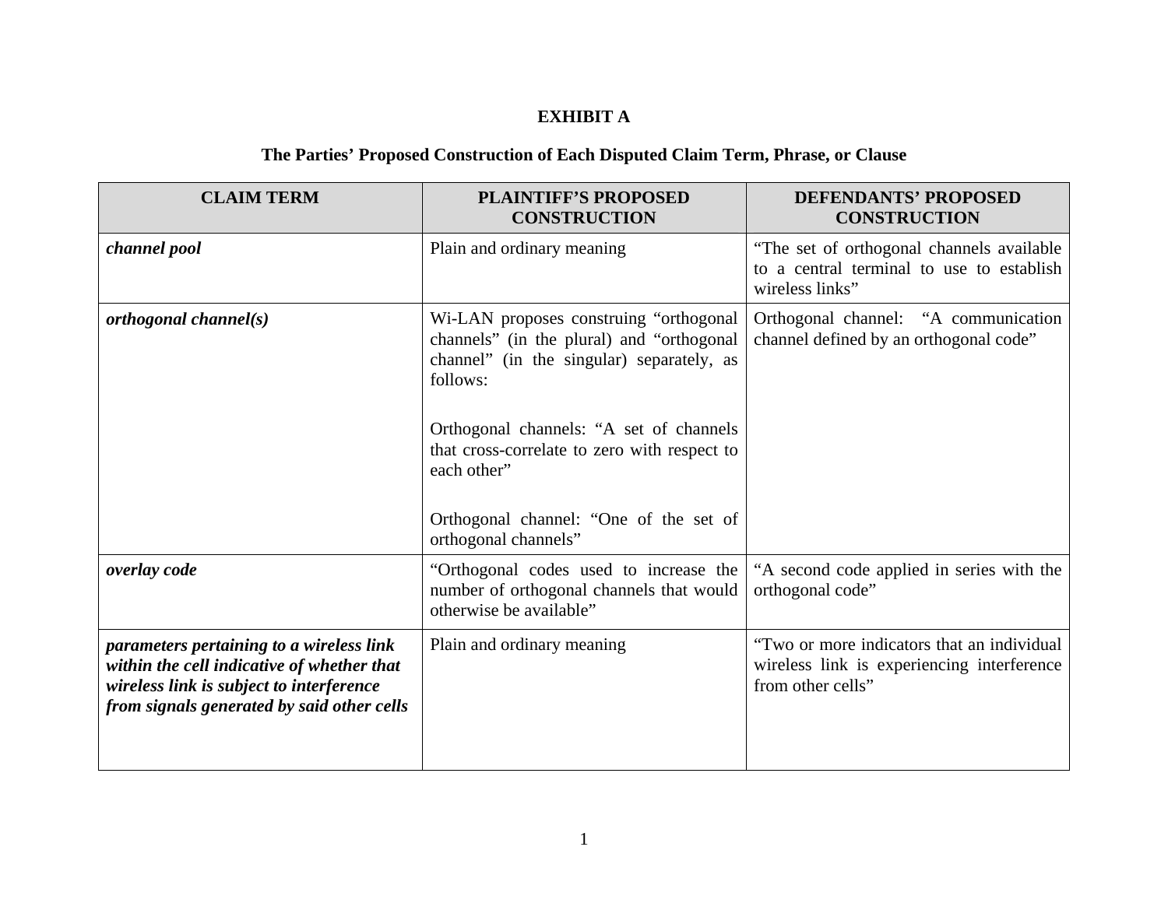## **EXHIBIT A**

## **The Parties' Proposed Construction of Each Disputed Claim Term, Phrase, or Clause**

| <b>CLAIM TERM</b>                                                                                                                                                                | <b>PLAINTIFF'S PROPOSED</b><br><b>CONSTRUCTION</b>                                                                                                                                                                                                                                                                       | <b>DEFENDANTS' PROPOSED</b><br><b>CONSTRUCTION</b>                                                            |
|----------------------------------------------------------------------------------------------------------------------------------------------------------------------------------|--------------------------------------------------------------------------------------------------------------------------------------------------------------------------------------------------------------------------------------------------------------------------------------------------------------------------|---------------------------------------------------------------------------------------------------------------|
| channel pool                                                                                                                                                                     | Plain and ordinary meaning                                                                                                                                                                                                                                                                                               | "The set of orthogonal channels available<br>to a central terminal to use to establish<br>wireless links"     |
| orthogonal channel(s)                                                                                                                                                            | Wi-LAN proposes construing "orthogonal<br>channels" (in the plural) and "orthogonal<br>channel" (in the singular) separately, as<br>follows:<br>Orthogonal channels: "A set of channels<br>that cross-correlate to zero with respect to<br>each other"<br>Orthogonal channel: "One of the set of<br>orthogonal channels" | Orthogonal channel: "A communication<br>channel defined by an orthogonal code"                                |
| overlay code                                                                                                                                                                     | "Orthogonal codes used to increase the<br>number of orthogonal channels that would<br>otherwise be available"                                                                                                                                                                                                            | "A second code applied in series with the<br>orthogonal code"                                                 |
| parameters pertaining to a wireless link<br>within the cell indicative of whether that<br>wireless link is subject to interference<br>from signals generated by said other cells | Plain and ordinary meaning                                                                                                                                                                                                                                                                                               | "Two or more indicators that an individual<br>wireless link is experiencing interference<br>from other cells" |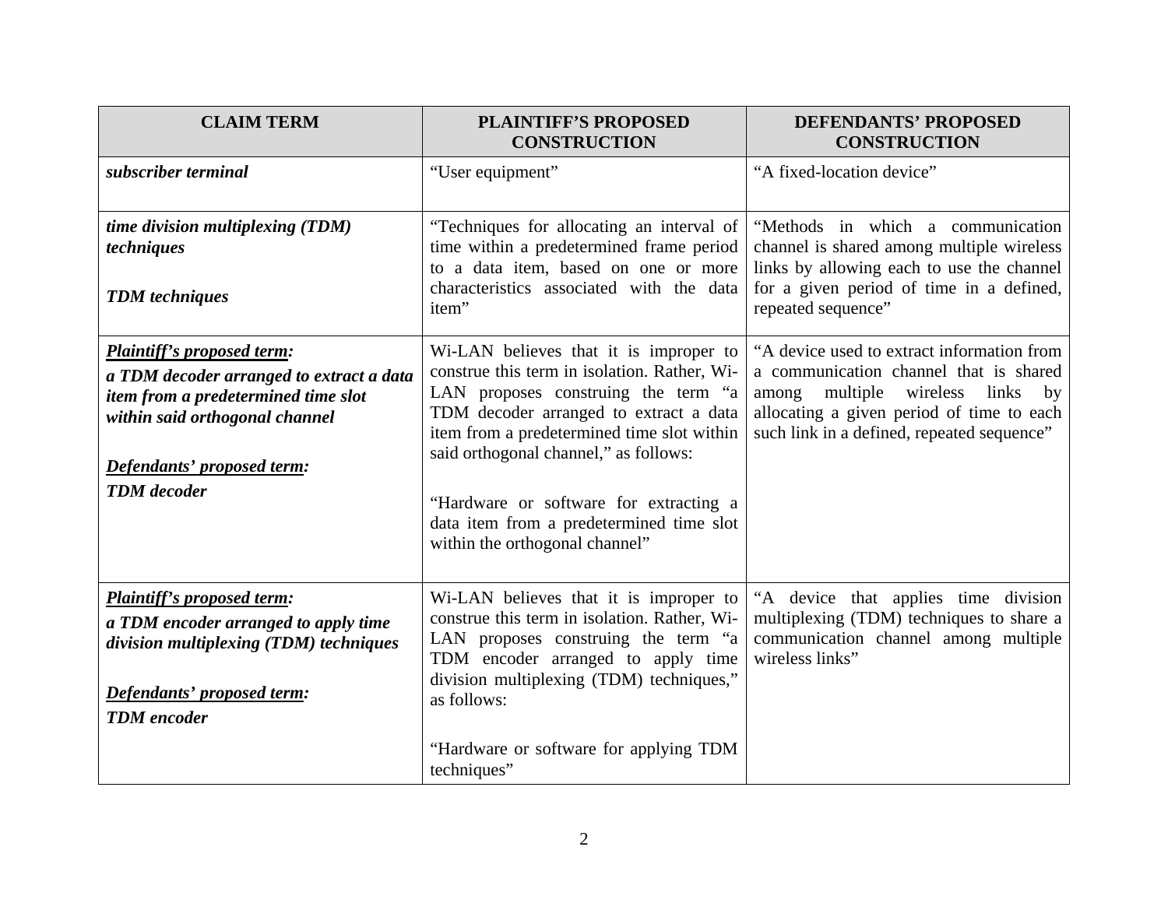| <b>CLAIM TERM</b>                                                                                                                                                                                          | <b>PLAINTIFF'S PROPOSED</b><br><b>CONSTRUCTION</b>                                                                                                                                                                                                                                                                                                                                     | <b>DEFENDANTS' PROPOSED</b><br><b>CONSTRUCTION</b>                                                                                                                                                                                 |
|------------------------------------------------------------------------------------------------------------------------------------------------------------------------------------------------------------|----------------------------------------------------------------------------------------------------------------------------------------------------------------------------------------------------------------------------------------------------------------------------------------------------------------------------------------------------------------------------------------|------------------------------------------------------------------------------------------------------------------------------------------------------------------------------------------------------------------------------------|
| subscriber terminal                                                                                                                                                                                        | "User equipment"                                                                                                                                                                                                                                                                                                                                                                       | "A fixed-location device"                                                                                                                                                                                                          |
| time division multiplexing (TDM)<br>techniques<br><b>TDM</b> techniques                                                                                                                                    | "Techniques for allocating an interval of<br>time within a predetermined frame period<br>to a data item, based on one or more<br>characteristics associated with the data<br>item"                                                                                                                                                                                                     | "Methods in which a communication<br>channel is shared among multiple wireless<br>links by allowing each to use the channel<br>for a given period of time in a defined,<br>repeated sequence"                                      |
| <b>Plaintiff's proposed term:</b><br>a TDM decoder arranged to extract a data<br>item from a predetermined time slot<br>within said orthogonal channel<br>Defendants' proposed term:<br><b>TDM</b> decoder | Wi-LAN believes that it is improper to<br>construe this term in isolation. Rather, Wi-<br>LAN proposes construing the term "a<br>TDM decoder arranged to extract a data<br>item from a predetermined time slot within<br>said orthogonal channel," as follows:<br>"Hardware or software for extracting a<br>data item from a predetermined time slot<br>within the orthogonal channel" | "A device used to extract information from<br>a communication channel that is shared<br>among<br>multiple wireless links<br>$_{\rm by}$<br>allocating a given period of time to each<br>such link in a defined, repeated sequence" |
| <b>Plaintiff's proposed term:</b><br>a TDM encoder arranged to apply time<br>division multiplexing (TDM) techniques<br>Defendants' proposed term:<br><b>TDM</b> encoder                                    | Wi-LAN believes that it is improper to<br>construe this term in isolation. Rather, Wi-<br>LAN proposes construing the term "a<br>TDM encoder arranged to apply time<br>division multiplexing (TDM) techniques,"<br>as follows:<br>"Hardware or software for applying TDM<br>techniques"                                                                                                | "A device that applies time division<br>multiplexing (TDM) techniques to share a<br>communication channel among multiple<br>wireless links"                                                                                        |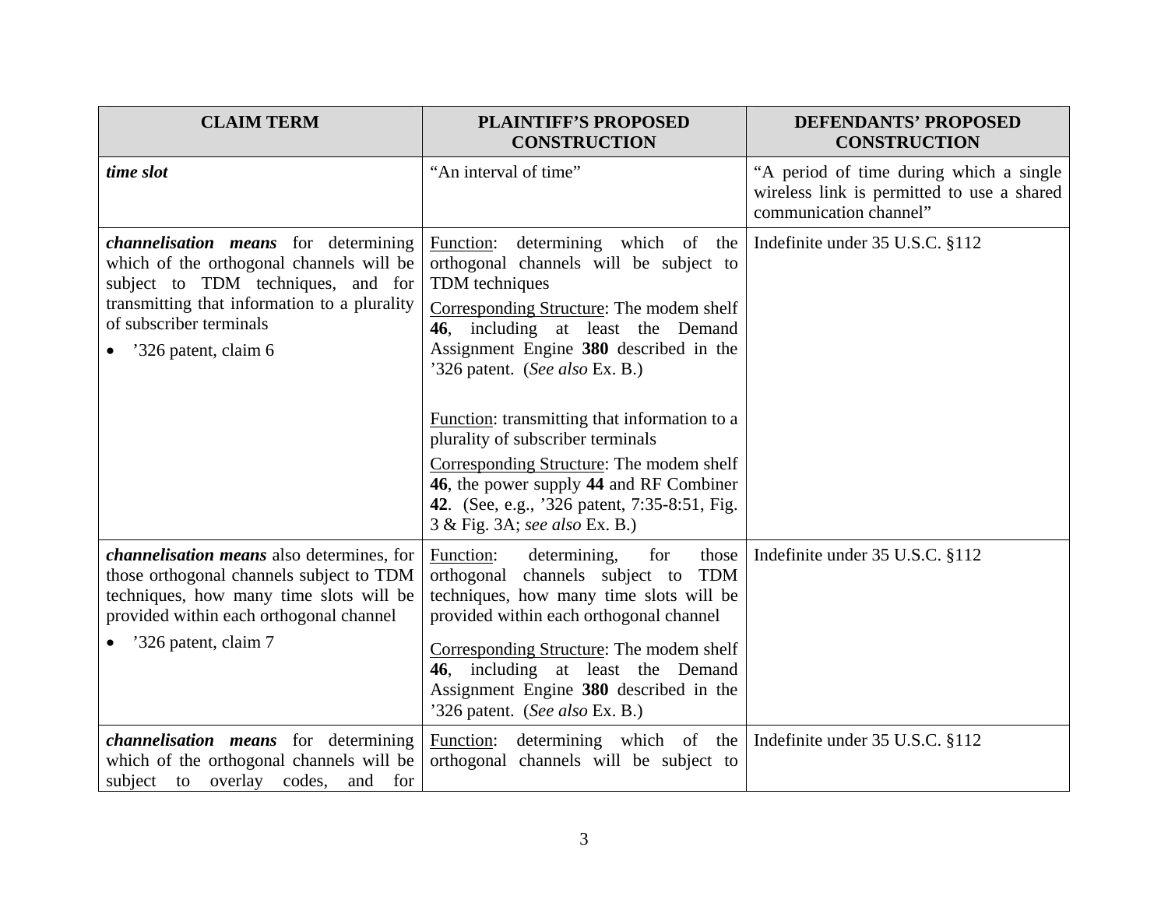| <b>CLAIM TERM</b>                                                                                                                                                                                                         | <b>PLAINTIFF'S PROPOSED</b><br><b>CONSTRUCTION</b>                                                                                                                                                                                                                                                                                                                                                                                                                                                                       | <b>DEFENDANTS' PROPOSED</b><br><b>CONSTRUCTION</b>                                                              |
|---------------------------------------------------------------------------------------------------------------------------------------------------------------------------------------------------------------------------|--------------------------------------------------------------------------------------------------------------------------------------------------------------------------------------------------------------------------------------------------------------------------------------------------------------------------------------------------------------------------------------------------------------------------------------------------------------------------------------------------------------------------|-----------------------------------------------------------------------------------------------------------------|
| time slot                                                                                                                                                                                                                 | "An interval of time"                                                                                                                                                                                                                                                                                                                                                                                                                                                                                                    | "A period of time during which a single<br>wireless link is permitted to use a shared<br>communication channel" |
| channelisation means for determining<br>which of the orthogonal channels will be<br>subject to TDM techniques, and for<br>transmitting that information to a plurality<br>of subscriber terminals<br>'326 patent, claim 6 | Function: determining which of the<br>orthogonal channels will be subject to<br>TDM techniques<br>Corresponding Structure: The modem shelf<br>46, including at least the Demand<br>Assignment Engine 380 described in the<br>'326 patent. (See also Ex. B.)<br>Function: transmitting that information to a<br>plurality of subscriber terminals<br>Corresponding Structure: The modem shelf<br>46, the power supply 44 and RF Combiner<br>42. (See, e.g., '326 patent, 7:35-8:51, Fig.<br>3 & Fig. 3A; see also Ex. B.) | Indefinite under 35 U.S.C. §112                                                                                 |
| channelisation means also determines, for<br>those orthogonal channels subject to TDM<br>techniques, how many time slots will be<br>provided within each orthogonal channel<br>'326 patent, claim 7                       | for<br>Function:<br>determining,<br>those<br>orthogonal channels subject to TDM<br>techniques, how many time slots will be<br>provided within each orthogonal channel<br>Corresponding Structure: The modem shelf<br>46, including at least the Demand<br>Assignment Engine 380 described in the<br>'326 patent. (See also Ex. B.)                                                                                                                                                                                       | Indefinite under 35 U.S.C. §112                                                                                 |
| <i>channelisation means</i> for determining<br>which of the orthogonal channels will be<br>subject to overlay codes,<br>and<br>for                                                                                        | Function: determining which of the<br>orthogonal channels will be subject to                                                                                                                                                                                                                                                                                                                                                                                                                                             | Indefinite under 35 U.S.C. §112                                                                                 |